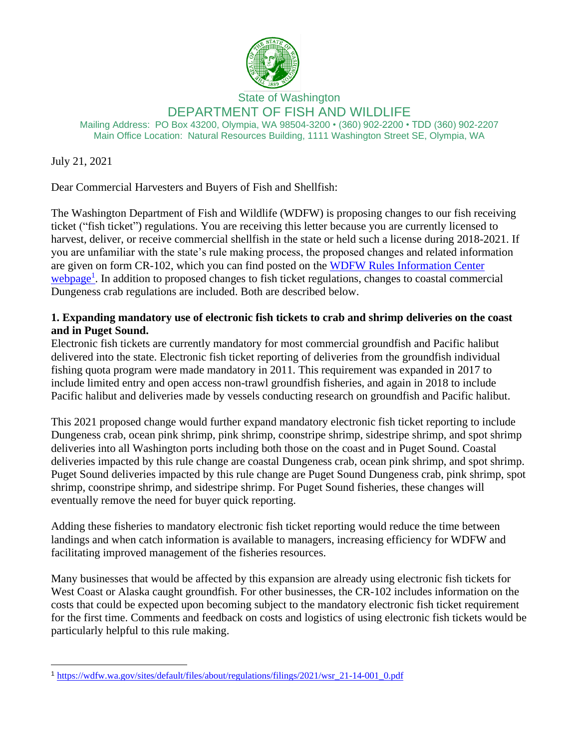

State of Washington DEPARTMENT OF FISH AND WILDLIFE

Mailing Address: PO Box 43200, Olympia, WA 98504-3200 • (360) 902-2200 • TDD (360) 902-2207 Main Office Location: Natural Resources Building, 1111 Washington Street SE, Olympia, WA

July 21, 2021

Dear Commercial Harvesters and Buyers of Fish and Shellfish:

The Washington Department of Fish and Wildlife (WDFW) is proposing changes to our fish receiving ticket ("fish ticket") regulations. You are receiving this letter because you are currently licensed to harvest, deliver, or receive commercial shellfish in the state or held such a license during 2018-2021. If you are unfamiliar with the state's rule making process, the proposed changes and related information are given on form CR-102, which you can find posted on the [WDFW Rules Information Center](https://wdfw.wa.gov/about/regulations/development)  [webpage](https://wdfw.wa.gov/about/regulations/development)<sup>1</sup>. In addition to proposed changes to fish ticket regulations, changes to coastal commercial Dungeness crab regulations are included. Both are described below.

## **1. Expanding mandatory use of electronic fish tickets to crab and shrimp deliveries on the coast and in Puget Sound.**

Electronic fish tickets are currently mandatory for most commercial groundfish and Pacific halibut delivered into the state. Electronic fish ticket reporting of deliveries from the groundfish individual fishing quota program were made mandatory in 2011. This requirement was expanded in 2017 to include limited entry and open access non-trawl groundfish fisheries, and again in 2018 to include Pacific halibut and deliveries made by vessels conducting research on groundfish and Pacific halibut.

This 2021 proposed change would further expand mandatory electronic fish ticket reporting to include Dungeness crab, ocean pink shrimp, pink shrimp, coonstripe shrimp, sidestripe shrimp, and spot shrimp deliveries into all Washington ports including both those on the coast and in Puget Sound. Coastal deliveries impacted by this rule change are coastal Dungeness crab, ocean pink shrimp, and spot shrimp. Puget Sound deliveries impacted by this rule change are Puget Sound Dungeness crab, pink shrimp, spot shrimp, coonstripe shrimp, and sidestripe shrimp. For Puget Sound fisheries, these changes will eventually remove the need for buyer quick reporting.

Adding these fisheries to mandatory electronic fish ticket reporting would reduce the time between landings and when catch information is available to managers, increasing efficiency for WDFW and facilitating improved management of the fisheries resources.

Many businesses that would be affected by this expansion are already using electronic fish tickets for West Coast or Alaska caught groundfish. For other businesses, the CR-102 includes information on the costs that could be expected upon becoming subject to the mandatory electronic fish ticket requirement for the first time. Comments and feedback on costs and logistics of using electronic fish tickets would be particularly helpful to this rule making.

<sup>1</sup> [https://wdfw.wa.gov/sites/default/files/about/regulations/filings/2021/wsr\\_21-14-001\\_0.pdf](https://wdfw.wa.gov/sites/default/files/about/regulations/filings/2021/wsr_21-14-001_0.pdf)